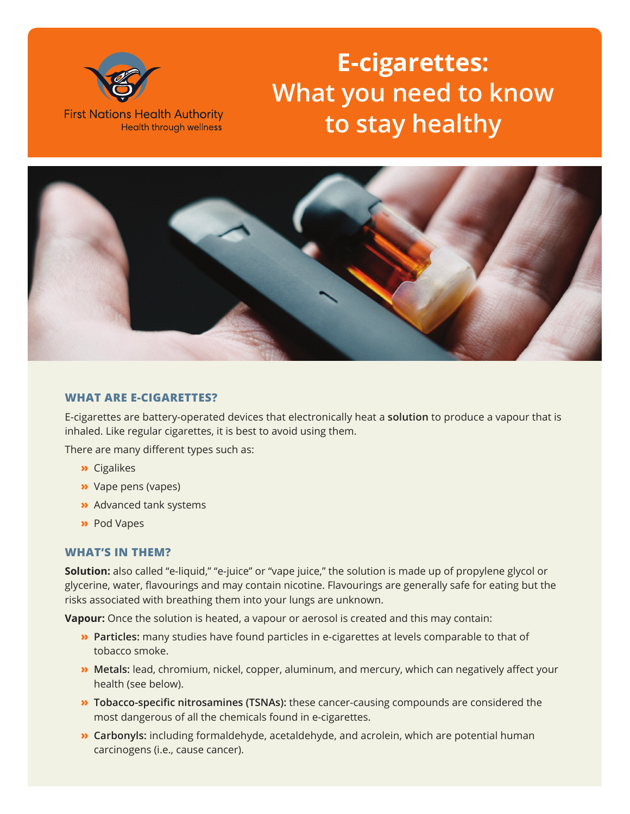

# **E-cigarettes: What you need to know to stay healthy**



## **WHAT ARE E-CIGARETTES?**

E-cigarettes are battery-operated devices that electronically heat a **solution** to produce a vapour that is inhaled. Like regular cigarettes, it is best to avoid using them.

There are many different types such as:

- **»** Cigalikes
- **»** Vape pens (vapes)
- **»** Advanced tank systems
- **»** Pod Vapes

#### **WHAT'S IN THEM?**

**Solution:** also called "e-liquid," "e-juice" or "vape juice," the solution is made up of propylene glycol or glycerine, water, flavourings and may contain nicotine. Flavourings are generally safe for eating but the risks associated with breathing them into your lungs are unknown.

**Vapour:** Once the solution is heated, a vapour or aerosol is created and this may contain:

- **» Particles:** many studies have found particles in e-cigarettes at levels comparable to that of tobacco smoke.
- **» Metals:** lead, chromium, nickel, copper, aluminum, and mercury, which can negatively affect your health (see below).
- **» Tobacco-specific nitrosamines (TSNAs):** these cancer-causing compounds are considered the most dangerous of all the chemicals found in e-cigarettes.
- **» Carbonyls:** including formaldehyde, acetaldehyde, and acrolein, which are potential human carcinogens (i.e., cause cancer).